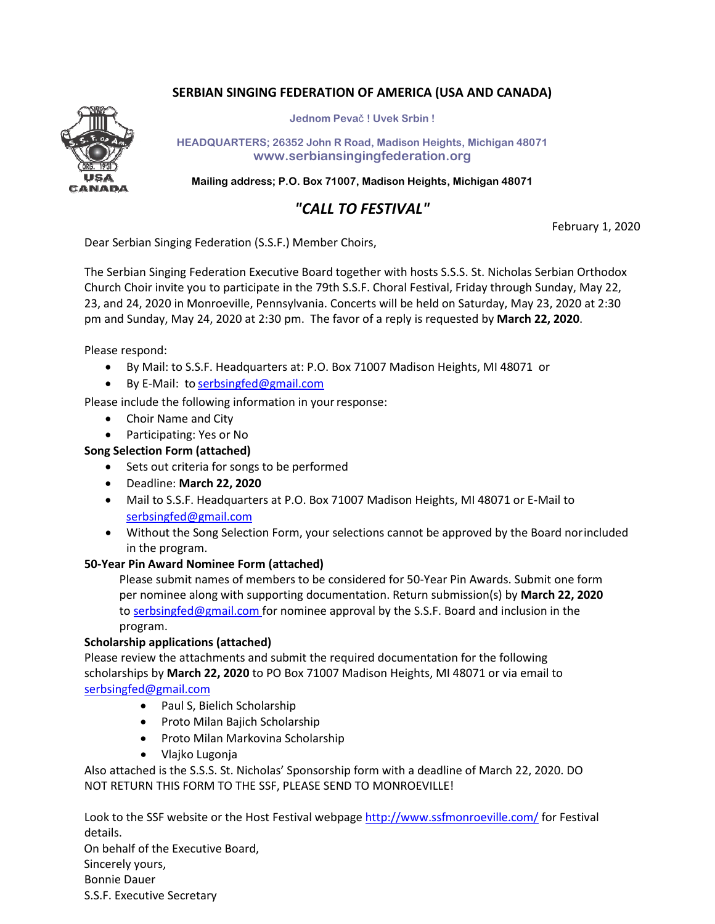## **SERBIAN SINGING FEDERATION OF AMERICA (USA AND CANADA)**



**Jednom Peva**č **! Uvek Srbin !**

**HEADQUARTERS; 26352 John R Road, Madison Heights, Michigan 48071 [www.serbiansingingfederation.org](http://www.serbiansingingfederation.org/)**

**Mailing address; P.O. Box 71007, Madison Heights, Michigan 48071**

## *"CALL TO FESTIVAL"*

February 1, 2020

Dear Serbian Singing Federation (S.S.F.) Member Choirs,

The Serbian Singing Federation Executive Board together with hosts S.S.S. St. Nicholas Serbian Orthodox Church Choir invite you to participate in the 79th S.S.F. Choral Festival, Friday through Sunday, May 22, 23, and 24, 2020 in Monroeville, Pennsylvania. Concerts will be held on Saturday, May 23, 2020 at 2:30 pm and Sunday, May 24, 2020 at 2:30 pm. The favor of a reply is requested by **March 22, 2020**.

Please respond:

- By Mail: to S.S.F. Headquarters at: P.O. Box 71007 Madison Heights, MI 48071 or
- By E-Mail: to [serbsingfed@gmail.com](mailto:serbsingfed@gmail.com)

Please include the following information in your response:

- Choir Name and City
- Participating: Yes or No
- **Song Selection Form (attached)**
	- Sets out criteria for songs to be performed
	- Deadline: **March 22, 2020**
	- Mail to S.S.F. Headquarters at P.O. Box 71007 Madison Heights, MI 48071 or E‐Mail to [serbsingfed@gmail.com](mailto:serbsingfed@gmail.com)
	- Without the Song Selection Form, your selections cannot be approved by the Board norincluded in the program.

#### **50‐Year Pin Award Nominee Form (attached)**

Please submit names of members to be considered for 50‐Year Pin Awards. Submit one form per nominee along with supporting documentation. Return submission(s) by **March 22, 2020** to [serbsingfed@gmail.com f](mailto:serbsingfed@gmail.com)or nominee approval by the S.S.F. Board and inclusion in the program.

#### **Scholarship applications (attached)**

Please review the attachments and submit the required documentation for the following scholarships by **March 22, 2020** to PO Box 71007 Madison Heights, MI 48071 or via email to [serbsingfed@gmail.com](mailto:serbsingfed@gmail.com)

- Paul S, Bielich Scholarship
- Proto Milan Bajich Scholarship
- Proto Milan Markovina Scholarship
- Vlajko Lugonja

Also attached is the S.S.S. St. Nicholas' Sponsorship form with a deadline of March 22, 2020. DO NOT RETURN THIS FORM TO THE SSF, PLEASE SEND TO MONROEVILLE!

Look to the SSF website or the Host Festival webpage<http://www.ssfmonroeville.com/> for Festival details.

On behalf of the Executive Board, Sincerely yours, Bonnie Dauer S.S.F. Executive Secretary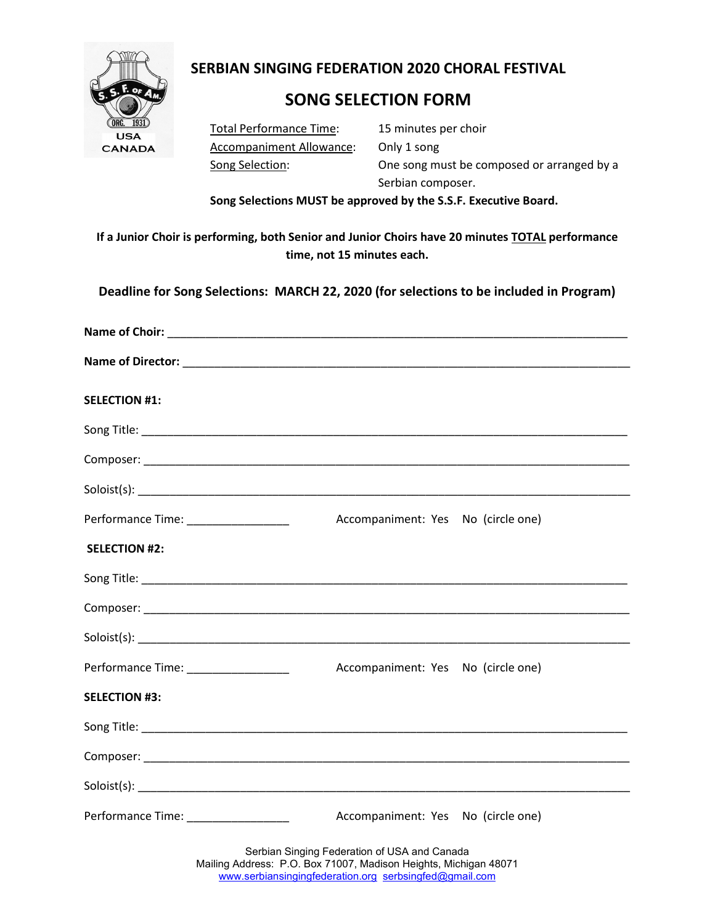

# **SERBIAN SINGING FEDERATION 2020 CHORAL FESTIVAL**

# **SONG SELECTION FORM**

Total Performance Time: 15 minutes per choir Accompaniment Allowance: Only 1 song

Song Selection: One song must be composed or arranged by a Serbian composer.

**Song Selections MUST be approved by the S.S.F. Executive Board.**

**If a Junior Choir is performing, both Senior and Junior Choirs have 20 minutes TOTAL performance time, not 15 minutes each.**

**Deadline for Song Selections: MARCH 22, 2020 (for selections to be included in Program)**

| <b>SELECTION #1:</b>                                                                                                                                                       |                                                                             |  |  |  |
|----------------------------------------------------------------------------------------------------------------------------------------------------------------------------|-----------------------------------------------------------------------------|--|--|--|
|                                                                                                                                                                            |                                                                             |  |  |  |
|                                                                                                                                                                            |                                                                             |  |  |  |
|                                                                                                                                                                            |                                                                             |  |  |  |
| Performance Time: __________________                                                                                                                                       | Accompaniment: Yes No (circle one)                                          |  |  |  |
| <b>SELECTION #2:</b>                                                                                                                                                       |                                                                             |  |  |  |
|                                                                                                                                                                            |                                                                             |  |  |  |
|                                                                                                                                                                            |                                                                             |  |  |  |
|                                                                                                                                                                            |                                                                             |  |  |  |
| Performance Time: ____________________                                                                                                                                     | Accompaniment: Yes No (circle one)                                          |  |  |  |
| <b>SELECTION #3:</b>                                                                                                                                                       |                                                                             |  |  |  |
|                                                                                                                                                                            |                                                                             |  |  |  |
|                                                                                                                                                                            |                                                                             |  |  |  |
|                                                                                                                                                                            |                                                                             |  |  |  |
|                                                                                                                                                                            | Performance Time: ___________________<br>Accompaniment: Yes No (circle one) |  |  |  |
| Serbian Singing Federation of USA and Canada<br>Mailing Address: P.O. Box 71007, Madison Heights, Michigan 48071<br>www.serbiansingingfederation.org serbsingfed@gmail.com |                                                                             |  |  |  |